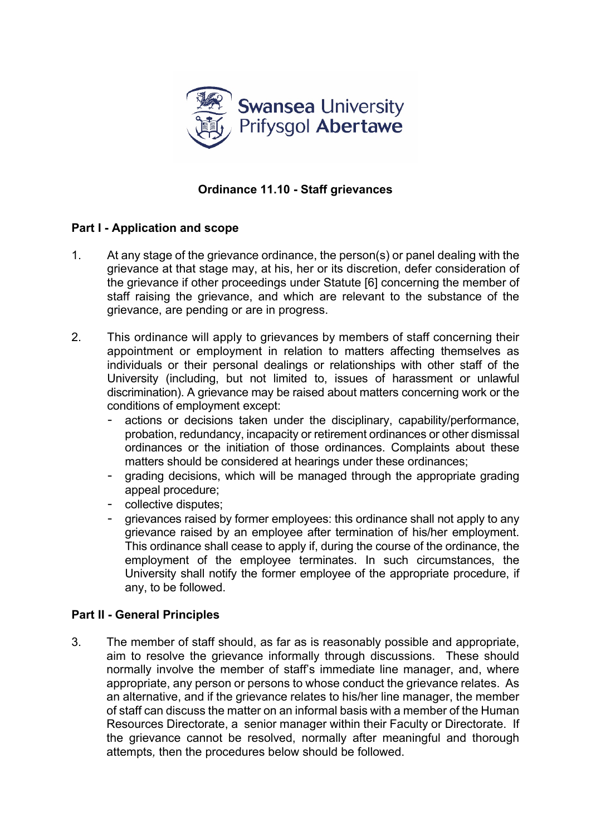

# **Ordinance 11.10 - Staff grievances**

### **Part I - Application and scope**

- 1. At any stage of the grievance ordinance, the person(s) or panel dealing with the grievance at that stage may, at his, her or its discretion, defer consideration of the grievance if other proceedings under Statute [6] concerning the member of staff raising the grievance, and which are relevant to the substance of the grievance, are pending or are in progress.
- 2. This ordinance will apply to grievances by members of staff concerning their appointment or employment in relation to matters affecting themselves as individuals or their personal dealings or relationships with other staff of the University (including, but not limited to, issues of harassment or unlawful discrimination). A grievance may be raised about matters concerning work or the conditions of employment except:
	- actions or decisions taken under the disciplinary, capability/performance, probation, redundancy, incapacity or retirement ordinances or other dismissal ordinances or the initiation of those ordinances. Complaints about these matters should be considered at hearings under these ordinances;
	- grading decisions, which will be managed through the appropriate grading appeal procedure;
	- collective disputes;
	- grievances raised by former employees: this ordinance shall not apply to any grievance raised by an employee after termination of his/her employment. This ordinance shall cease to apply if, during the course of the ordinance, the employment of the employee terminates. In such circumstances, the University shall notify the former employee of the appropriate procedure, if any, to be followed.

### **Part II - General Principles**

3. The member of staff should, as far as is reasonably possible and appropriate, aim to resolve the grievance informally through discussions. These should normally involve the member of staff's immediate line manager, and, where appropriate, any person or persons to whose conduct the grievance relates. As an alternative, and if the grievance relates to his/her line manager, the member of staff can discuss the matter on an informal basis with a member of the Human Resources Directorate, a senior manager within their Faculty or Directorate. If the grievance cannot be resolved, normally after meaningful and thorough attempts*,* then the procedures below should be followed.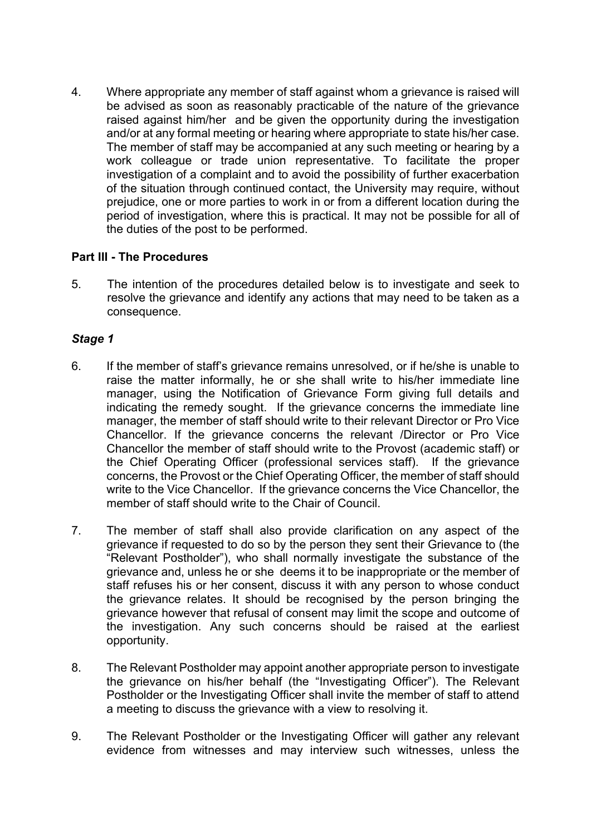4. Where appropriate any member of staff against whom a grievance is raised will be advised as soon as reasonably practicable of the nature of the grievance raised against him/her and be given the opportunity during the investigation and/or at any formal meeting or hearing where appropriate to state his/her case. The member of staff may be accompanied at any such meeting or hearing by a work colleague or trade union representative. To facilitate the proper investigation of a complaint and to avoid the possibility of further exacerbation of the situation through continued contact, the University may require, without prejudice, one or more parties to work in or from a different location during the period of investigation, where this is practical. It may not be possible for all of the duties of the post to be performed.

### **Part III - The Procedures**

5. The intention of the procedures detailed below is to investigate and seek to resolve the grievance and identify any actions that may need to be taken as a consequence.

### *Stage 1*

- 6. If the member of staff's grievance remains unresolved, or if he/she is unable to raise the matter informally, he or she shall write to his/her immediate line manager, using the Notification of Grievance Form giving full details and indicating the remedy sought. If the grievance concerns the immediate line manager, the member of staff should write to their relevant Director or Pro Vice Chancellor. If the grievance concerns the relevant /Director or Pro Vice Chancellor the member of staff should write to the Provost (academic staff) or the Chief Operating Officer (professional services staff). If the grievance concerns, the Provost or the Chief Operating Officer, the member of staff should write to the Vice Chancellor. If the grievance concerns the Vice Chancellor, the member of staff should write to the Chair of Council.
- 7. The member of staff shall also provide clarification on any aspect of the grievance if requested to do so by the person they sent their Grievance to (the "Relevant Postholder"), who shall normally investigate the substance of the grievance and, unless he or she deems it to be inappropriate or the member of staff refuses his or her consent, discuss it with any person to whose conduct the grievance relates. It should be recognised by the person bringing the grievance however that refusal of consent may limit the scope and outcome of the investigation. Any such concerns should be raised at the earliest opportunity.
- 8. The Relevant Postholder may appoint another appropriate person to investigate the grievance on his/her behalf (the "Investigating Officer"). The Relevant Postholder or the Investigating Officer shall invite the member of staff to attend a meeting to discuss the grievance with a view to resolving it.
- 9. The Relevant Postholder or the Investigating Officer will gather any relevant evidence from witnesses and may interview such witnesses, unless the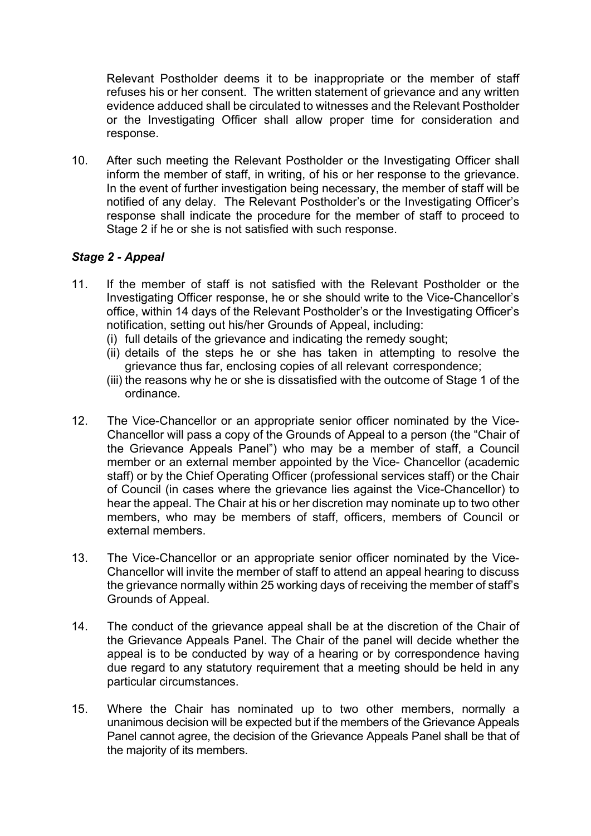Relevant Postholder deems it to be inappropriate or the member of staff refuses his or her consent. The written statement of grievance and any written evidence adduced shall be circulated to witnesses and the Relevant Postholder or the Investigating Officer shall allow proper time for consideration and response.

10. After such meeting the Relevant Postholder or the Investigating Officer shall inform the member of staff, in writing, of his or her response to the grievance. In the event of further investigation being necessary, the member of staff will be notified of any delay. The Relevant Postholder's or the Investigating Officer's response shall indicate the procedure for the member of staff to proceed to Stage 2 if he or she is not satisfied with such response.

## *Stage 2 - Appeal*

- 11. If the member of staff is not satisfied with the Relevant Postholder or the Investigating Officer response, he or she should write to the Vice-Chancellor's office, within 14 days of the Relevant Postholder's or the Investigating Officer's notification, setting out his/her Grounds of Appeal, including:
	- (i) full details of the grievance and indicating the remedy sought;
	- (ii) details of the steps he or she has taken in attempting to resolve the grievance thus far, enclosing copies of all relevant correspondence;
	- (iii) the reasons why he or she is dissatisfied with the outcome of Stage 1 of the ordinance.
- 12. The Vice-Chancellor or an appropriate senior officer nominated by the Vice-Chancellor will pass a copy of the Grounds of Appeal to a person (the "Chair of the Grievance Appeals Panel") who may be a member of staff, a Council member or an external member appointed by the Vice- Chancellor (academic staff) or by the Chief Operating Officer (professional services staff) or the Chair of Council (in cases where the grievance lies against the Vice-Chancellor) to hear the appeal. The Chair at his or her discretion may nominate up to two other members, who may be members of staff, officers, members of Council or external members.
- 13. The Vice-Chancellor or an appropriate senior officer nominated by the Vice-Chancellor will invite the member of staff to attend an appeal hearing to discuss the grievance normally within 25 working days of receiving the member of staff's Grounds of Appeal.
- 14. The conduct of the grievance appeal shall be at the discretion of the Chair of the Grievance Appeals Panel. The Chair of the panel will decide whether the appeal is to be conducted by way of a hearing or by correspondence having due regard to any statutory requirement that a meeting should be held in any particular circumstances.
- 15. Where the Chair has nominated up to two other members, normally a unanimous decision will be expected but if the members of the Grievance Appeals Panel cannot agree, the decision of the Grievance Appeals Panel shall be that of the majority of its members.